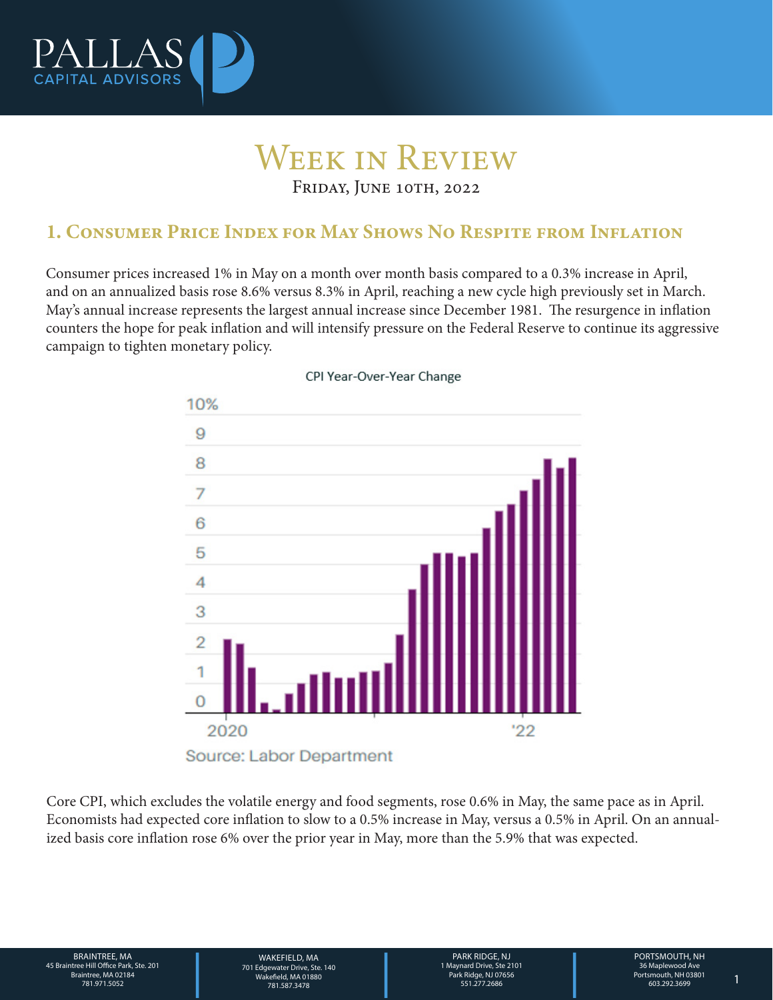

# Week in Review

FRIDAY, JUNE 10TH, 2022

## 1. Consumer Price Index for May Shows No Respite from Inflation

Consumer prices increased 1% in May on a month over month basis compared to a 0.3% increase in April, and on an annualized basis rose 8.6% versus 8.3% in April, reaching a new cycle high previously set in March. May's annual increase represents the largest annual increase since December 1981. The resurgence in inflation counters the hope for peak inflation and will intensify pressure on the Federal Reserve to continue its aggressive campaign to tighten monetary policy.



#### CPI Year-Over-Year Change

Core CPI, which excludes the volatile energy and food segments, rose 0.6% in May, the same pace as in April. Economists had expected core inflation to slow to a 0.5% increase in May, versus a 0.5% in April. On an annualized basis core inflation rose 6% over the prior year in May, more than the 5.9% that was expected.

BRAINTREE, MA 45 Braintree Hill Office Park, Ste. 201 Braintree, MA 02184

WAKEFIELD, MA<br>
701 Edgewater Drive, Ste. 140<br>
28 Wakefield, MA 01880<br>
781.587.3478<br>
PORTSMOUTH, NH<br>
28 Maplewood Ave Park Ridge, NJ 07656<br>
281.51.277.2686<br>
281.51.277.2686<br>
28 Maplewood Ave Park Ridge, NJ 07656<br>
281.51.277 1 Maynard Drive, Ste 2101 Park Ridge, NJ 07656 551.277.2686 781.971.5052 1 WAKFFIFI D. MA 701 Edgewater Drive, Ste. 140 Wakefield, MA 01880 781.587.3478

PARK RIDGE, NJ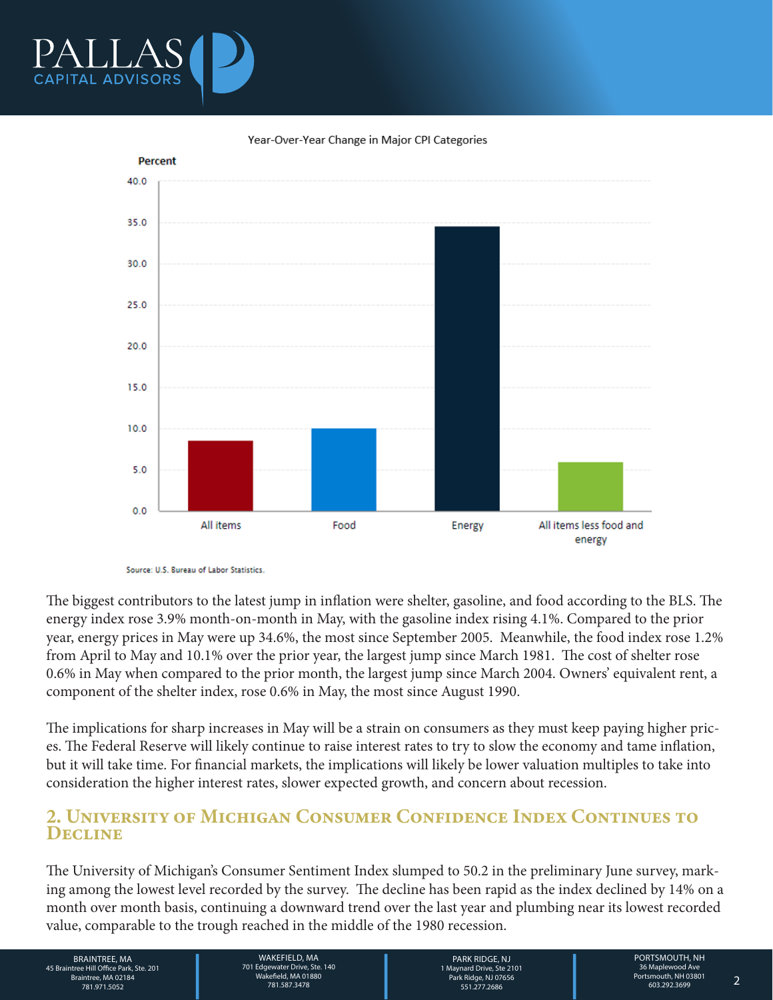



Year-Over-Year Change in Major CPI Categories

Source: U.S. Bureau of Labor Statistics.

The biggest contributors to the latest jump in inflation were shelter, gasoline, and food according to the BLS. The energy index rose 3.9% month-on-month in May, with the gasoline index rising 4.1%. Compared to the prior year, energy prices in May were up 34.6%, the most since September 2005. Meanwhile, the food index rose 1.2% from April to May and 10.1% over the prior year, the largest jump since March 1981. The cost of shelter rose 0.6% in May when compared to the prior month, the largest jump since March 2004. Owners' equivalent rent, a component of the shelter index, rose 0.6% in May, the most since August 1990.

The implications for sharp increases in May will be a strain on consumers as they must keep paying higher prices. The Federal Reserve will likely continue to raise interest rates to try to slow the economy and tame inflation, but it will take time. For financial markets, the implications will likely be lower valuation multiples to take into consideration the higher interest rates, slower expected growth, and concern about recession.

### 2. University of Michigan Consumer Confidence Index Continues to **DECLINE**

The University of Michigan's Consumer Sentiment Index slumped to 50.2 in the preliminary June survey, marking among the lowest level recorded by the survey. The decline has been rapid as the index declined by 14% on a month over month basis, continuing a downward trend over the last year and plumbing near its lowest recorded value, comparable to the trough reached in the middle of the 1980 recession.

BRAINTREE, MA 45 Braintree Hill Office Park, Ste. 201 Braintree, MA 02184

WAKEFIELD, MA<br>
701 Edgewater Drive, Ste. 140<br>
19 Wakefield, MA 01880<br>
781.587.3478<br>
781.587.3478<br>
PORTSMOUTH, NH<br>
19 Maynard Drive, Ste 2101<br>
PORTSMOUTH, NH<br>
19 Maynard Drive, Ste 2101<br>
Portsmouth, NH 03801<br>
Portsmouth, NH WAKEFIELD, MA 701 Edgewater Drive, Ste. 140 Wakefield, MA 01880 781.587.3478 781.971.5052 2

PARK RIDGE, NJ 1 Maynard Drive, Ste 2101 Park Ridge, NJ 07656 551.277.2686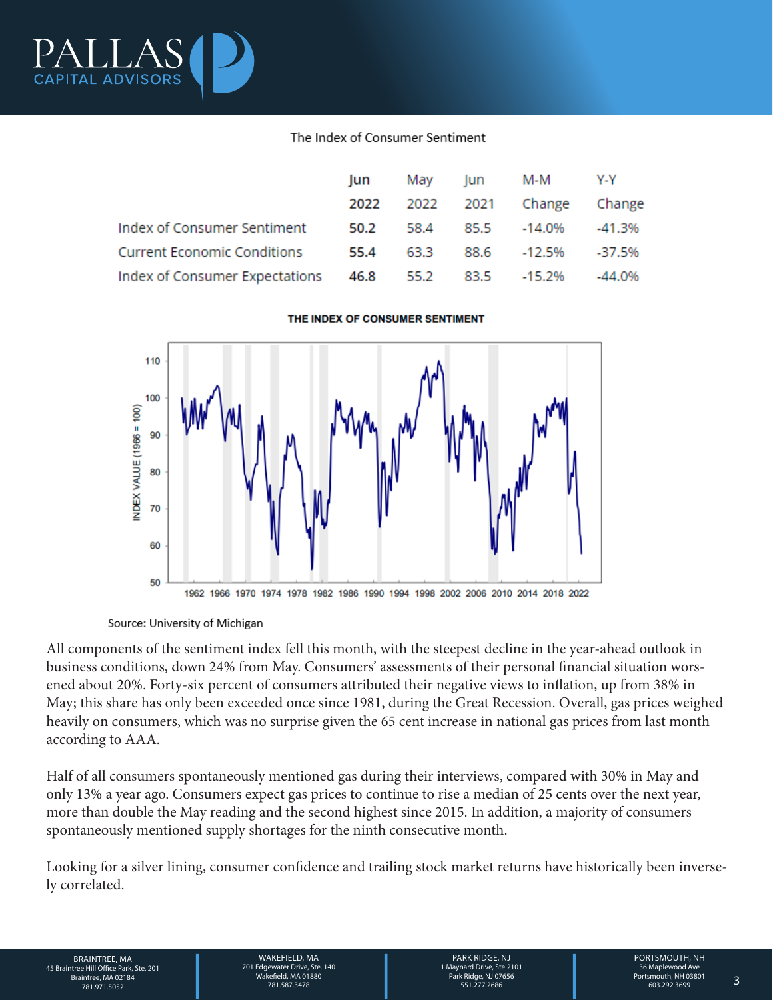

#### The Index of Consumer Sentiment

|                                    | lun  | May       | lun  | M-M       | Y-Y       |
|------------------------------------|------|-----------|------|-----------|-----------|
|                                    | 2022 | 2022 2021 |      | Change    | Change    |
| Index of Consumer Sentiment        | 50.2 | 58.4      | 85.5 | -14.0%    | -41.3%    |
| <b>Current Economic Conditions</b> | 55.4 | 63.3      | 88.6 | -12.5%    | -37.5%    |
| Index of Consumer Expectations     | 46.8 | 55.2      | 83.5 | $-15.2\%$ | $-44.0\%$ |



#### THE INDEX OF CONSUMER SENTIMENT

Source: University of Michigan

All components of the sentiment index fell this month, with the steepest decline in the year-ahead outlook in business conditions, down 24% from May. Consumers' assessments of their personal financial situation worsened about 20%. Forty-six percent of consumers attributed their negative views to inflation, up from 38% in May; this share has only been exceeded once since 1981, during the Great Recession. Overall, gas prices weighed heavily on consumers, which was no surprise given the 65 cent increase in national gas prices from last month according to AAA.

Half of all consumers spontaneously mentioned gas during their interviews, compared with 30% in May and only 13% a year ago. Consumers expect gas prices to continue to rise a median of 25 cents over the next year, more than double the May reading and the second highest since 2015. In addition, a majority of consumers spontaneously mentioned supply shortages for the ninth consecutive month.

Looking for a silver lining, consumer confidence and trailing stock market returns have historically been inversely correlated.

BRAINTREE, MA MAKEFIELD, MA MAKEFIELD, MA PARK RIDGE, NJ PORTSMOUTH, NH<br>26 Braintree Hill Office Park, Ste. 201<br>26 Braintree, MA 02184 Mayara May and Drive, Ste. 140<br>281.971.5052 781.971.5052 781.587.3478 731.97556 781.971 BRAINTREE, MA 45 Braintree Hill Office Park, Ste. 201 Braintree, MA 02184

WAKEFIELD, MA 701 Edgewater Drive, Ste. 140 Wakefield, MA 01880 781.587.3478 781.971.5052 3

PARK RIDGE, NJ 1 Maynard Drive, Ste 2101 Park Ridge, NJ 07656 551.277.2686